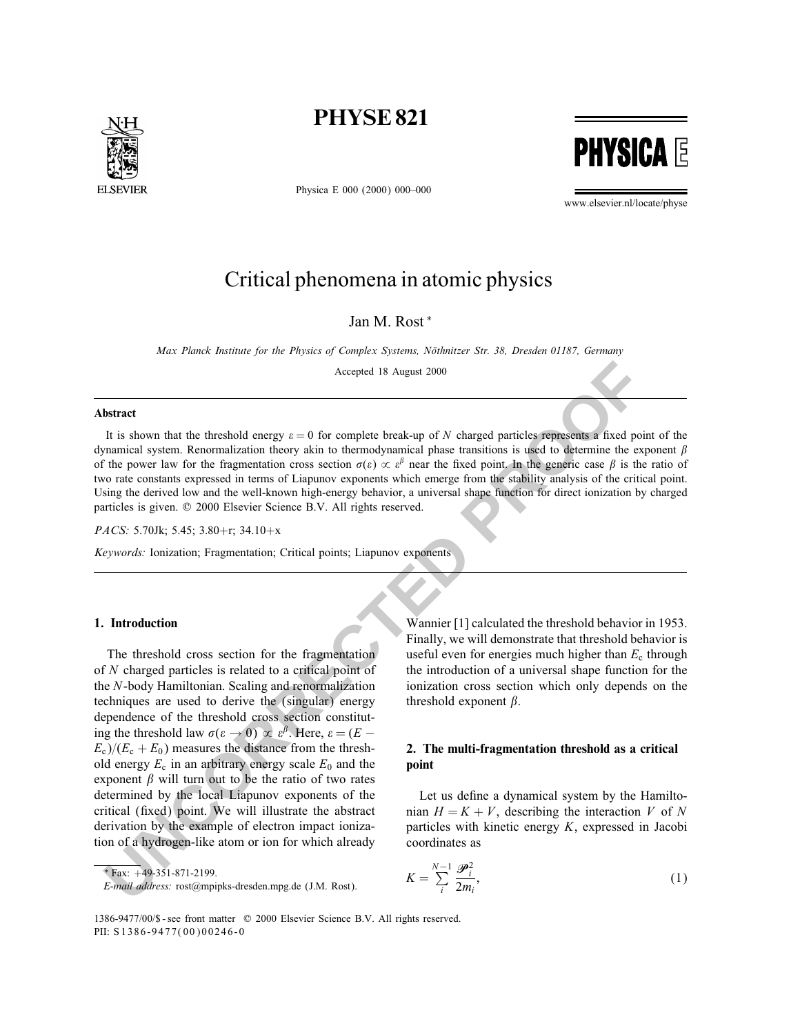

Physica E 000 (2000) 000–000



www.elsevier.nl/locate/physe

# Critical phenomena in atomic physics

Jan M. Rost <sup>∗</sup>

Max Planck Institute for the Physics of Complex Systems, Nöthnitzer Str. 38, Dresden 01187, Germany

Accepted 18 August 2000

#### Abstract

It is shown that the threshold energy  $\varepsilon = 0$  for complete break-up of N charged particles represents a fixed point of the dynamical system. Renormalization theory akin to thermodynamical phase transitions is used to determine the exponent  $\beta$ of the power law for the fragmentation cross section  $\sigma(\varepsilon) \propto \varepsilon^{\beta}$  near the fixed point. In the generic case  $\beta$  is the ratio of two rate constants expressed in terms of Liapunov exponents which emerge from the stability analysis of the critical point. Using the derived low and the well-known high-energy behavior, a universal shape function for direct ionization by charged particles is given.  $\oslash$  2000 Elsevier Science B.V. All rights reserved.

PACS: 5.70Jk; 5.45; 3.80+r; 34.10+x

Keywords: Ionization; Fragmentation; Critical points; Liapunov exponents

### 1. Introduction

Accepted 18 August 2000<br> **Intract**<br>
It is shown that the threshold energy  $x = 0$  for complete break-up of  $N$  charged particles represents a fixed point<br>
It is shown that the frequentation theory akin to thermodynamical p The threshold cross section for the fragmentation of N charged particles is related to a critical point of the N-body Hamiltonian. Scaling and renormalization techniques are used to derive the (singular) energy dependence of the threshold cross section constituting the threshold law  $\sigma(\varepsilon \to 0) \propto \varepsilon^{\beta}$ . Here,  $\varepsilon = (E E_c$ )/( $E_c + E_0$ ) measures the distance from the threshold energy  $E_c$  in an arbitrary energy scale  $E_0$  and the exponent  $\beta$  will turn out to be the ratio of two rates determined by the local Liapunov exponents of the critical (fixed) point. We will illustrate the abstract derivation by the example of electron impact ionization of a hydrogen-like atom or ion for which already

Wannier [1] calculated the threshold behavior in 1953. Finally, we will demonstrate that threshold behavior is useful even for energies much higher than  $E_c$  through the introduction of a universal shape function for the ionization cross section which only depends on the threshold exponent  $\beta$ .

## 2. The multi-fragmentation threshold as a critical point

Let us define a dynamical system by the Hamiltonian  $H = K + V$ , describing the interaction V of N particles with kinetic energy K, expressed in Jacobi coordinates as

$$
K = \sum_{i}^{N-1} \frac{\mathcal{P}_i^2}{2m_i},\tag{1}
$$

<sup>∗</sup> Fax: +49-351-871-2199.

E-mail address: rost@mpipks-dresden.mpg.de (J.M. Rost).

<sup>1386-9477/00/\$ -</sup> see front matter © 2000 Elsevier Science B.V. All rights reserved. PII: S 1386-9477(00)00246-0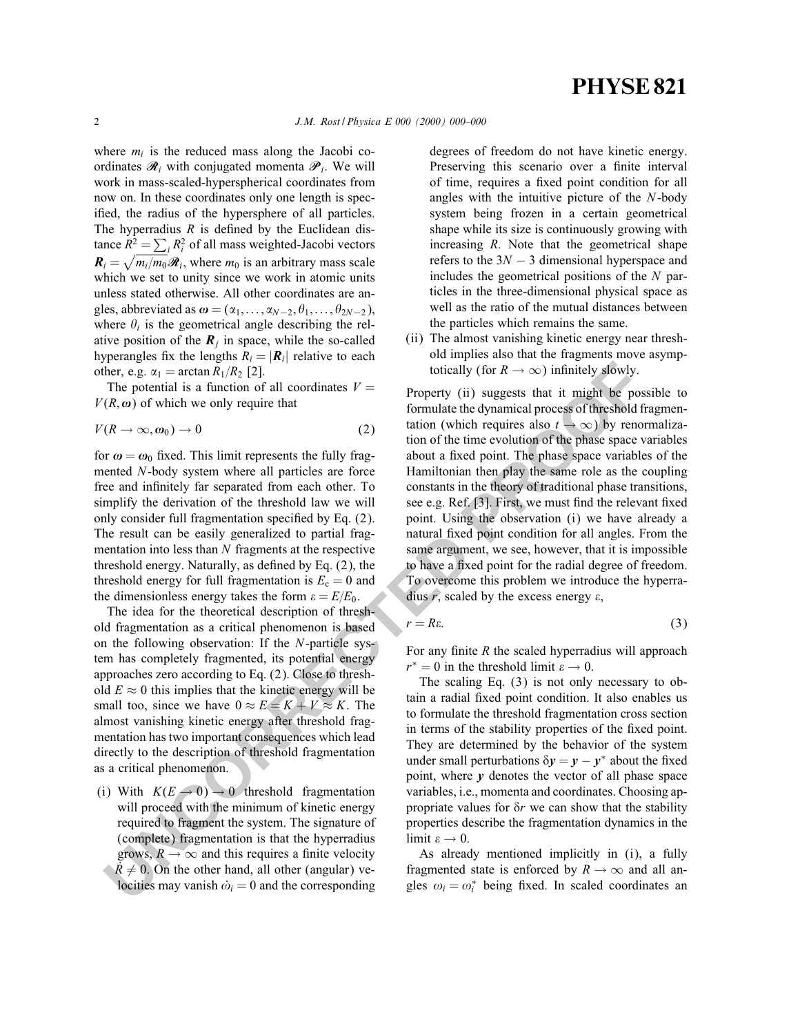where  $m_i$  is the reduced mass along the Jacobi coordinates  $\mathcal{R}_i$  with conjugated momenta  $\mathcal{P}_i$ . We will work in mass-scaled-hyperspherical coordinates from now on. In these coordinates only one length is specified, the radius of the hypersphere of all particles. The hyperradius  $R$  is defined by the Euclidean distance  $R^2 = \sum_i R_i^2$  of all mass weighted-Jacobi vectors  $\mathbf{R}_i = \sqrt{m_i/m_0\mathcal{R}_i}$ , where  $m_0$  is an arbitrary mass scale which we set to unity since we work in atomic units unless stated otherwise. All other coordinates are angles, abbreviated as  $\boldsymbol{\omega} = (\alpha_1,\ldots,\alpha_{N-2}, \theta_1,\ldots,\theta_{2N-2}),$ where  $\theta_i$  is the geometrical angle describing the relative position of the  $R_i$  in space, while the so-called hyperangles fix the lengths  $R_i = |\mathbf{R}_i|$  relative to each other, e.g.  $\alpha_1 = \arctan R_1/R_2$  [2].

The potential is a function of all coordinates  $V =$  $V(R, \omega)$  of which we only require that

$$
V(R \to \infty, \omega_0) \to 0 \tag{2}
$$

for  $\omega = \omega_0$  fixed. This limit represents the fully fragmented N-body system where all particles are force free and infinitely far separated from each other. To simplify the derivation of the threshold law we will only consider full fragmentation specified by Eq. (2). The result can be easily generalized to partial fragmentation into less than  $N$  fragments at the respective threshold energy. Naturally, as defined by Eq.  $(2)$ , the threshold energy for full fragmentation is  $E_c = 0$  and the dimensionless energy takes the form  $\varepsilon = E/E_0$ .

The idea for the theoretical description of threshold fragmentation as a critical phenomenon is based on the following observation: If the N-particle system has completely fragmented, its potential energy approaches zero according to Eq. (2). Close to threshold  $E \approx 0$  this implies that the kinetic energy will be small too, since we have  $0 \approx E = K + V \approx K$ . The almost vanishing kinetic energy after threshold fragmentation has two important consequences which lead directly to the description of threshold fragmentation as a critical phenomenon.

(i) With  $K(E \rightarrow 0) \rightarrow 0$  threshold fragmentation will proceed with the minimum of kinetic energy required to fragment the system. The signature of (complete) fragmentation is that the hyperradius grows,  $R \to \infty$  and this requires a finite velocity  $R \neq 0$ . On the other hand, all other (angular) velocities may vanish  $\dot{\omega}_i = 0$  and the corresponding

degrees of freedom do not have kinetic energy. Preserving this scenario over a finite interval of time, requires a fixed point condition for all angles with the intuitive picture of the N-body system being frozen in a certain geometrical shape while its size is continuously growing with increasing *. Note that the geometrical shape* refers to the  $3N - 3$  dimensional hyperspace and includes the geometrical positions of the  $N$  particles in the three-dimensional physical space as well as the ratio of the mutual distances between the particles which remains the same.

(ii) The almost vanishing kinetic energy near threshold implies also that the fragments move asymptotically (for  $R \to \infty$ ) infinitely slowly.

**From the control is a function of all continuates V = \text{The potential is a function of all of the two points, and the initial points are the same. The potential is a function of all of the points. The initial conditions are not completely different (if) suggests that the initial points are not explicitly used. The idea of the behavior of the points are not explicitly the derivatives of the points. The final conditions are not explicitly the derivatives of the points are not explicitly the derivatives of the points. The final conditions are not explicitly used, the initial conditions are not explicitly considered. The final conditions are not explicitly considered, the initial conditions are not explicitly considered. The final conditions are not easily generalized by the equation of the lines are not completely considered. The final conditions are not easily generalized, by the second equation is <math>F\_{\text{ex}} = \text{** Property (ii) suggests that it might be possible to formulate the dynamical process of threshold fragmentation (which requires also  $t \to \infty$ ) by renormalization of the time evolution of the phase space variables about a fixed point. The phase space variables of the Hamiltonian then play the same role as the coupling constants in the theory of traditional phase transitions, see e.g. Ref. [3]. First, we must find the relevant fixed point. Using the observation (i) we have already a natural fixed point condition for all angles. From the same argument, we see, however, that it is impossible to have a fixed point for the radial degree of freedom. To overcome this problem we introduce the hyperradius r, scaled by the excess energy  $\varepsilon$ ,

$$
r = R\varepsilon. \tag{3}
$$

For any finite  $R$  the scaled hyperradius will approach  $r^* = 0$  in the threshold limit  $\varepsilon \to 0$ .

The scaling Eq. (3) is not only necessary to obtain a radial fixed point condition. It also enables us to formulate the threshold fragmentation cross section in terms of the stability properties of the fixed point. They are determined by the behavior of the system under small perturbations  $\delta y = y - y^*$  about the fixed point, where  $\nu$  denotes the vector of all phase space variables, i.e., momenta and coordinates. Choosing appropriate values for  $\delta r$  we can show that the stability properties describe the fragmentation dynamics in the limit  $\varepsilon \to 0$ .

As already mentioned implicitly in (i), a fully fragmented state is enforced by  $R \rightarrow \infty$  and all angles  $\omega_i = \omega_i^*$  being fixed. In scaled coordinates an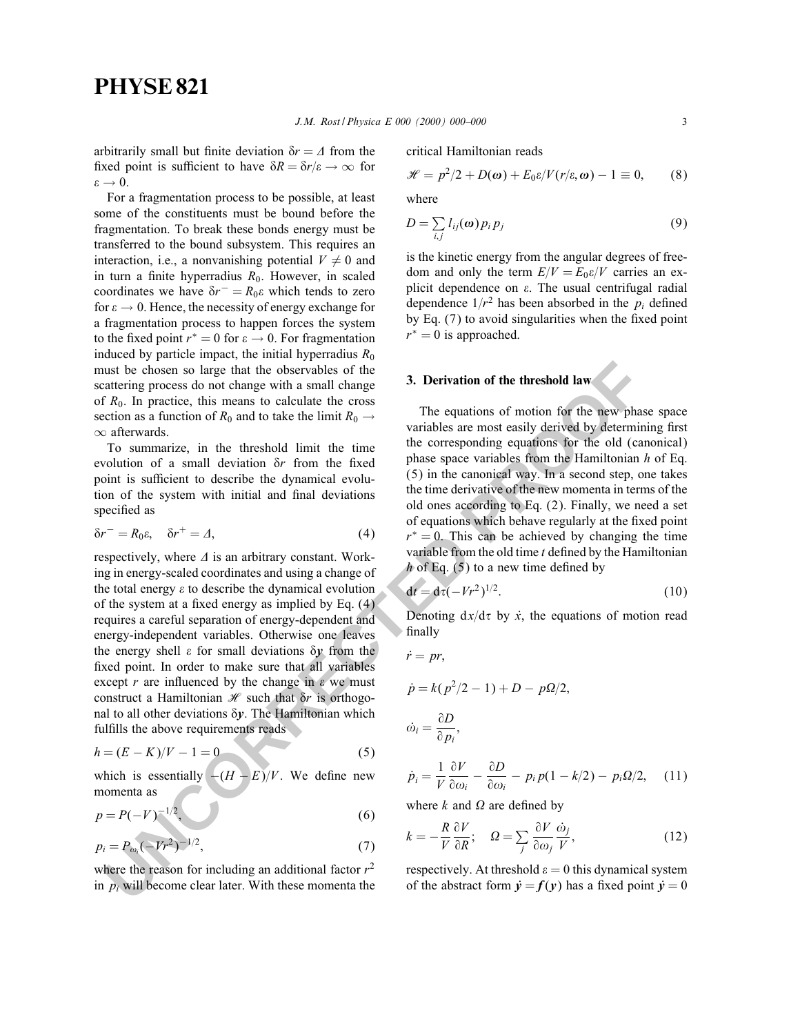arbitrarily small but finite deviation  $\delta r = \Delta$  from the fixed point is sufficient to have  $\delta R = \delta r/\varepsilon \rightarrow \infty$  for  $\varepsilon \rightarrow 0$ .

For a fragmentation process to be possible, at least some of the constituents must be bound before the fragmentation. To break these bonds energy must be transferred to the bound subsystem. This requires an interaction, i.e., a nonvanishing potential  $V \neq 0$  and in turn a finite hyperradius  $R_0$ . However, in scaled coordinates we have  $\delta r^- = R_0 \varepsilon$  which tends to zero for  $\varepsilon \to 0$ . Hence, the necessity of energy exchange for a fragmentation process to happen forces the system to the fixed point  $r^* = 0$  for  $\varepsilon \to 0$ . For fragmentation induced by particle impact, the initial hyperradius  $R_0$ must be chosen so large that the observables of the scattering process do not change with a small change of  $R_0$ . In practice, this means to calculate the cross section as a function of  $R_0$  and to take the limit  $R_0 \rightarrow$ ∞ afterwards.

To summarize, in the threshold limit the time evolution of a small deviation  $\delta r$  from the fixed point is sufficient to describe the dynamical evolution of the system with initial and final deviations specified as

$$
\delta r^- = R_0 \varepsilon, \quad \delta r^+ = \Delta,\tag{4}
$$

ust be chosen so large that the observables of the<br>
actuation of the threshold law<br>
active process do not change with a small change with a small change with a small change with a small change of<br>  $R_6$ , in paractice, thi respectively, where  $\Delta$  is an arbitrary constant. Working in energy-scaled coordinates and using a change of the total energy  $\varepsilon$  to describe the dynamical evolution of the system at a fixed energy as implied by Eq.  $(4)$ requires a careful separation of energy-dependent and energy-independent variables. Otherwise one leaves the energy shell  $\varepsilon$  for small deviations  $\delta y$  from the fixed point. In order to make sure that all variables except  $r$  are influenced by the change in  $\varepsilon$  we must construct a Hamiltonian  $\mathcal H$  such that  $\delta r$  is orthogonal to all other deviations  $\delta y$ . The Hamiltonian which fulfills the above requirements reads

$$
h = (E - K)/V - 1 = 0 \tag{5}
$$

which is essentially  $-(H - E)/V$ . We define new momenta as

$$
p = P(-V)^{-1/2},
$$
 (6)

$$
p_i = P_{\omega_i}(-Vr^2)^{-1/2},\tag{7}
$$

where the reason for including an additional factor  $r^2$ in  $p_i$  will become clear later. With these momenta the critical Hamiltonian reads

$$
\mathscr{H} = p^2/2 + D(\boldsymbol{\omega}) + E_0 \varepsilon / V(r/\varepsilon, \boldsymbol{\omega}) - 1 \equiv 0, \qquad (8)
$$

where

$$
D = \sum_{i,j} l_{ij}(\omega) p_i p_j \tag{9}
$$

is the kinetic energy from the angular degrees of freedom and only the term  $E/V = E_0 \varepsilon/V$  carries an explicit dependence on  $\varepsilon$ . The usual centrifugal radial dependence  $1/r^2$  has been absorbed in the  $p_i$  defined by Eq.  $(7)$  to avoid singularities when the fixed point  $r^* = 0$  is approached.

### 3. Derivation of the threshold law

The equations of motion for the new phase space variables are most easily derived by determining first the corresponding equations for the old (canonical) phase space variables from the Hamiltonian  $h$  of Eq. (5) in the canonical way. In a second step, one takes the time derivative of the new momenta in terms of the old ones according to Eq. (2). Finally, we need a set of equations which behave regularly at the fixed point  $r<sup>*</sup> = 0$ . This can be achieved by changing the time variable from the old time  $t$  defined by the Hamiltonian h of Eq.  $(5)$  to a new time defined by

$$
dt = d\tau (-Vr^2)^{1/2}.
$$
 (10)

Denoting  $dx/d\tau$  by  $\dot{x}$ , the equations of motion read finally

$$
\dot{r} = pr,
$$
\n
$$
\dot{p} = k(p^2/2 - 1) + D - p\Omega/2,
$$
\n
$$
\dot{\omega}_i = \frac{\partial D}{\partial p_i},
$$
\n
$$
\dot{p}_i = \frac{1}{V} \frac{\partial V}{\partial \omega_i} - \frac{\partial D}{\partial \omega_i} - p_i p(1 - k/2) - p_i \Omega/2,
$$
\n(11)

 $V \partial \omega_i$ 

where  $k$  and  $\Omega$  are defined by

$$
k = -\frac{R}{V} \frac{\partial V}{\partial R}; \quad \Omega = \sum_{j} \frac{\partial V}{\partial \omega_{j}} \frac{\dot{\omega}_{j}}{V}, \tag{12}
$$

respectively. At threshold  $\varepsilon = 0$  this dynamical system of the abstract form  $\dot{v} = f(v)$  has a fixed point  $\dot{v} = 0$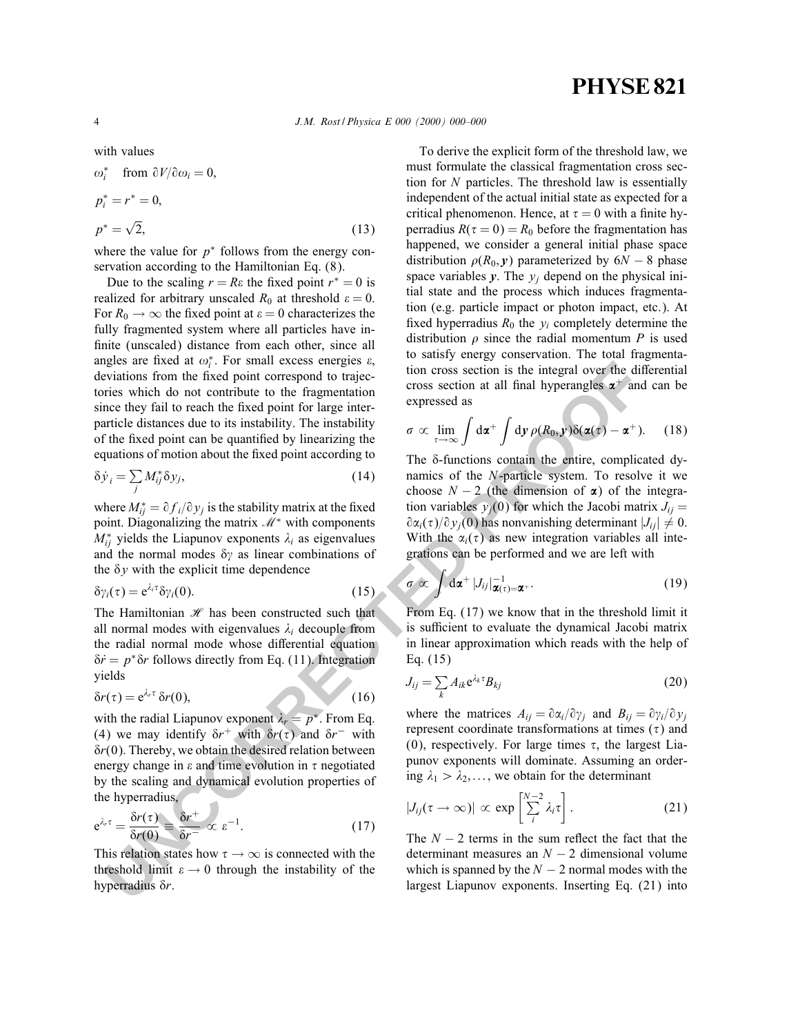4 J.M. Rost / Physica E 000 (2000) 000–000

with values

$$
\omega_i^* \quad \text{from } \partial V / \partial \omega_i = 0,
$$
  

$$
p_i^* = r^* = 0,
$$
  

$$
p^* = \sqrt{2}, \tag{13}
$$

where the value for  $p^*$  follows from the energy conservation according to the Hamiltonian Eq. (8).

aging are fixed  $\alpha_i$ , For small excess energies  $\vec{a}_i$ , and  $\alpha_i$  and  $\alpha_i$  and  $\alpha_i$  and  $\alpha_i$  and  $\alpha_i$  and  $\alpha_i$  and  $\alpha_i$  and  $\alpha_i$  and  $\alpha_i$  and  $\alpha_i$  and  $\alpha_i$  and  $\alpha_i$  and  $\alpha_i$  and  $\alpha_i$  and  $\alpha_i$  and  $\alpha_i$  an Due to the scaling  $r = Re$  the fixed point  $r^* = 0$  is realized for arbitrary unscaled  $R_0$  at threshold  $\varepsilon = 0$ . For  $R_0 \rightarrow \infty$  the fixed point at  $\varepsilon = 0$  characterizes the fully fragmented system where all particles have in finite (unscaled) distance from each other, since all angles are fixed at  $\omega_i^*$ . For small excess energies  $\varepsilon$ , deviations from the fixed point correspond to trajectories which do not contribute to the fragmentation since they fail to reach the fixed point for large interparticle distances due to its instability. The instability of the fixed point can be quantified by linearizing the equations of motion about the fixed point according to

$$
\delta \dot{y}_i = \sum_j M_{ij}^* \delta y_j,\tag{14}
$$

where  $M_{ij}^* = \partial f_i / \partial y_j$  is the stability matrix at the fixed point. Diagonalizing the matrix  $M^*$  with components  $M_{ij}^*$  yields the Liapunov exponents  $\lambda_i$  as eigenvalues and the normal modes  $\delta\gamma$  as linear combinations of the  $\delta y$  with the explicit time dependence

$$
\delta \gamma_i(\tau) = e^{\lambda_i \tau} \delta \gamma_i(0). \tag{15}
$$

The Hamiltonian  $\mathcal{H}$  has been constructed such that all normal modes with eigenvalues  $\lambda_i$  decouple from the radial normal mode whose differential equation  $\delta \dot{r} = p^* \delta r$  follows directly from Eq. (11). Integration yields

$$
\delta r(\tau) = e^{\lambda_r \tau} \, \delta r(0),\tag{16}
$$

with the radial Liapunov exponent  $\lambda_r = p^*$ . From Eq. (4) we may identify  $\delta r^+$  with  $\delta r(\tau)$  and  $\delta r^-$  with  $\delta r(0)$ . Thereby, we obtain the desired relation between energy change in  $\varepsilon$  and time evolution in  $\tau$  negotiated by the scaling and dynamical evolution properties of the hyperradius,

$$
e^{\lambda_r \tau} = \frac{\delta r(\tau)}{\delta r(0)} \equiv \frac{\delta r^+}{\delta r^-} \propto \varepsilon^{-1}.
$$
 (17)

This relation states how  $\tau \to \infty$  is connected with the threshold limit  $\varepsilon \to 0$  through the instability of the hyperradius  $\delta r$ .

To derive the explicit form of the threshold law, we must formulate the classical fragmentation cross section for  $N$  particles. The threshold law is essentially independent of the actual initial state as expected for a critical phenomenon. Hence, at  $\tau = 0$  with a finite hyperradius  $R(\tau = 0) = R_0$  before the fragmentation has happened, we consider a general initial phase space distribution  $\rho(R_0, y)$  parameterized by 6N − 8 phase space variables  $y$ . The  $y_i$  depend on the physical initial state and the process which induces fragmentation (e.g. particle impact or photon impact, etc.). At fixed hyperradius  $R_0$  the  $y_i$  completely determine the distribution  $\rho$  since the radial momentum P is used to satisfy energy conservation. The total fragmentation cross section is the integral over the differential cross section at all final hyperangles  $\alpha^+$  and can be expressed as

$$
\sigma \propto \lim_{\tau \to \infty} \int d\mathbf{x}^+ \int d\mathbf{y} \, \rho(R_0, \mathbf{y}) \delta(\mathbf{\alpha}(\tau) - \mathbf{\alpha}^+). \tag{18}
$$

The  $\delta$ -functions contain the entire, complicated dynamics of the N-particle system. To resolve it we choose  $N - 2$  (the dimension of  $\alpha$ ) of the integration variables  $y_i(0)$  for which the Jacobi matrix  $J_{ii} =$  $\partial \alpha_i(\tau)/\partial y_i(0)$  has nonvanishing determinant  $|J_{ii}| \neq 0$ . With the  $\alpha_i(\tau)$  as new integration variables all integrations can be performed and we are left with

$$
\sigma \propto \int d\alpha^+ |J_{ij}|^{-1}_{\alpha(\tau)=\alpha^+}.
$$
 (19)

From Eq. (17) we know that in the threshold limit it is sufficient to evaluate the dynamical Jacobi matrix in linear approximation which reads with the help of Eq. (15)

$$
J_{ij} = \sum_{k} A_{ik} e^{\lambda_k \tau} B_{kj} \tag{20}
$$

where the matrices  $A_{ij} = \partial \alpha_i / \partial \gamma_j$  and  $B_{ij} = \partial \gamma_i / \partial \gamma_j$ represent coordinate transformations at times  $(\tau)$  and (0), respectively. For large times  $\tau$ , the largest Liapunov exponents will dominate. Assuming an ordering  $\lambda_1 > \lambda_2, \ldots$ , we obtain for the determinant

$$
|J_{ij}(\tau \to \infty)| \propto \exp\left[\sum_{i}^{N-2} \lambda_i \tau\right]. \tag{21}
$$

The  $N - 2$  terms in the sum reflect the fact that the determinant measures an  $N - 2$  dimensional volume which is spanned by the  $N - 2$  normal modes with the largest Liapunov exponents. Inserting Eq. (21) into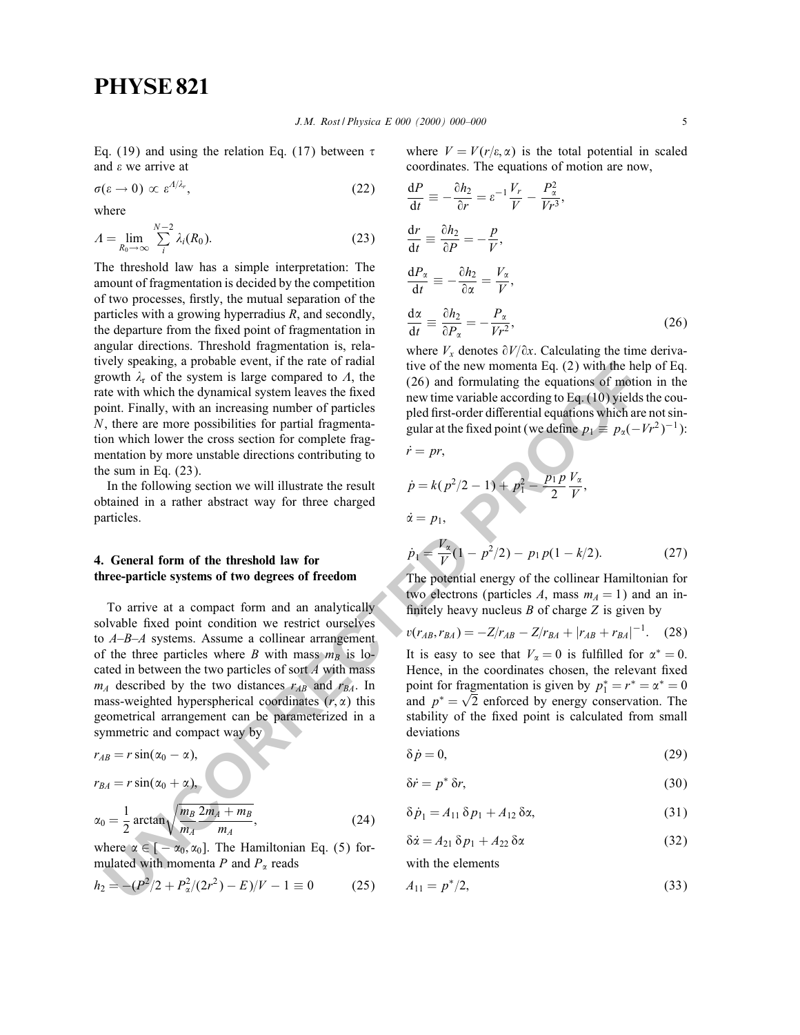Eq. (19) and using the relation Eq. (17) between  $\tau$ and  $\varepsilon$  we arrive at

$$
\sigma(\varepsilon \to 0) \propto \varepsilon^{A/\lambda_r},\tag{22}
$$

where

$$
A = \lim_{R_0 \to \infty} \sum_{i}^{N-2} \lambda_i(R_0).
$$
 (23)

The threshold law has a simple interpretation: The amount of fragmentation is decided by the competition of two processes, firstly, the mutual separation of the particles with a growing hyperradius R, and secondly, the departure from the fixed point of fragmentation in angular directions. Threshold fragmentation is, relatively speaking, a probable event, if the rate of radial growth  $\lambda_r$  of the system is large compared to  $\Lambda$ , the rate with which the dynamical system leaves the fixed point. Finally, with an increasing number of particles N, there are more possibilities for partial fragmentation which lower the cross section for complete fragmentation by more unstable directions contributing to the sum in Eq.  $(23)$ .

In the following section we will illustrate the result obtained in a rather abstract way for three charged particles.

## 4. General form of the threshold law for three-particle systems of two degrees of freedom

**Example as probable control. It the rate of radial is two of the ear momenta Eq. (2) with the help compared to**  $A$ **, the**  $(26)$  **and formulating the quantions of gottobian explane like the winding the parameteric with whic** To arrive at a compact form and an analytically solvable fixed point condition we restrict ourselves to A–B–A systems. Assume a collinear arrangement of the three particles where B with mass  $m_B$  is located in between the two particles of sort  $A$  with mass  $m_A$  described by the two distances  $r_{AB}$  and  $r_{BA}$ . In mass-weighted hyperspherical coordinates  $(r, \alpha)$  this geometrical arrangement can be parameterized in a symmetric and compact way by

$$
r_{AB}=r\sin(\alpha_0-\alpha),
$$

$$
r_{BA}=r\sin(\alpha_0+\alpha),
$$

$$
\alpha_0 = \frac{1}{2} \arctan\sqrt{\frac{m_B}{m_A} \frac{2m_A + m_B}{m_A}},\tag{24}
$$

where  $\alpha \in [-\alpha_0, \alpha_0]$ . The Hamiltonian Eq. (5) formulated with momenta P and  $P_{\alpha}$  reads

$$
h_2 = -(P^2/2 + P^2/2r^2) - E)/V - 1 \equiv 0 \tag{25}
$$

where  $V = V(r/\varepsilon, \alpha)$  is the total potential in scaled coordinates. The equations of motion are now,

$$
\frac{dP}{dt} = -\frac{\partial h_2}{\partial r} = \varepsilon^{-1} \frac{V_r}{V} - \frac{P_\alpha^2}{V r^3},
$$
  
\n
$$
\frac{dr}{dt} = \frac{\partial h_2}{\partial P} = -\frac{p}{V},
$$
  
\n
$$
\frac{dP_\alpha}{dt} = -\frac{\partial h_2}{\partial \alpha} = \frac{V_\alpha}{V},
$$
  
\n
$$
\frac{d\alpha}{dt} = \frac{\partial h_2}{\partial P_\alpha} = -\frac{P_\alpha}{V r^2},
$$
\n(26)

where  $V_x$  denotes  $\partial V/\partial x$ . Calculating the time derivative of the new momenta Eq. (2) with the help of Eq. (26) and formulating the equations of motion in the new time variable according to Eq. (10) yields the coupled first-order differential equations which are not singular at the fixed point (we define  $p_1 \equiv p_2(-Vr^2)^{-1}$ ):

$$
\dot{r}=pr,
$$

$$
\dot{p} = k(p^2/2 - 1) + p_1^2 - \frac{p_1 p}{2} \frac{V_{\alpha}}{V},
$$
  

$$
\dot{\alpha} = p_1,
$$

$$
\dot{p}_1 = \frac{V_x}{V}(1 - p^2/2) - p_1 p(1 - k/2). \tag{27}
$$

The potential energy of the collinear Hamiltonian for two electrons (particles A, mass  $m_A = 1$ ) and an infinitely heavy nucleus  $B$  of charge  $Z$  is given by

$$
v(r_{AB}, r_{BA}) = -Z/r_{AB} - Z/r_{BA} + |r_{AB} + r_{BA}|^{-1}.
$$
 (28)

It is easy to see that  $V_\alpha = 0$  is fulfilled for  $\alpha^* = 0$ . Hence, in the coordinates chosen, the relevant fixed point for fragmentation is given by  $p_1^* = r^* = \alpha^* = 0$ and  $p^* = \sqrt{2}$  enforced by energy conservation. The stability of the fixed point is calculated from small deviations

$$
\delta \dot{p} = 0,\tag{29}
$$

$$
\delta \dot{r} = p^* \, \delta r,\tag{30}
$$

$$
\delta \dot{p}_1 = A_{11} \delta p_1 + A_{12} \delta \alpha, \tag{31}
$$

$$
\delta \dot{\alpha} = A_{21} \, \delta \, p_1 + A_{22} \, \delta \alpha \tag{32}
$$

with the elements

$$
A_{11} = p^*/2, \tag{33}
$$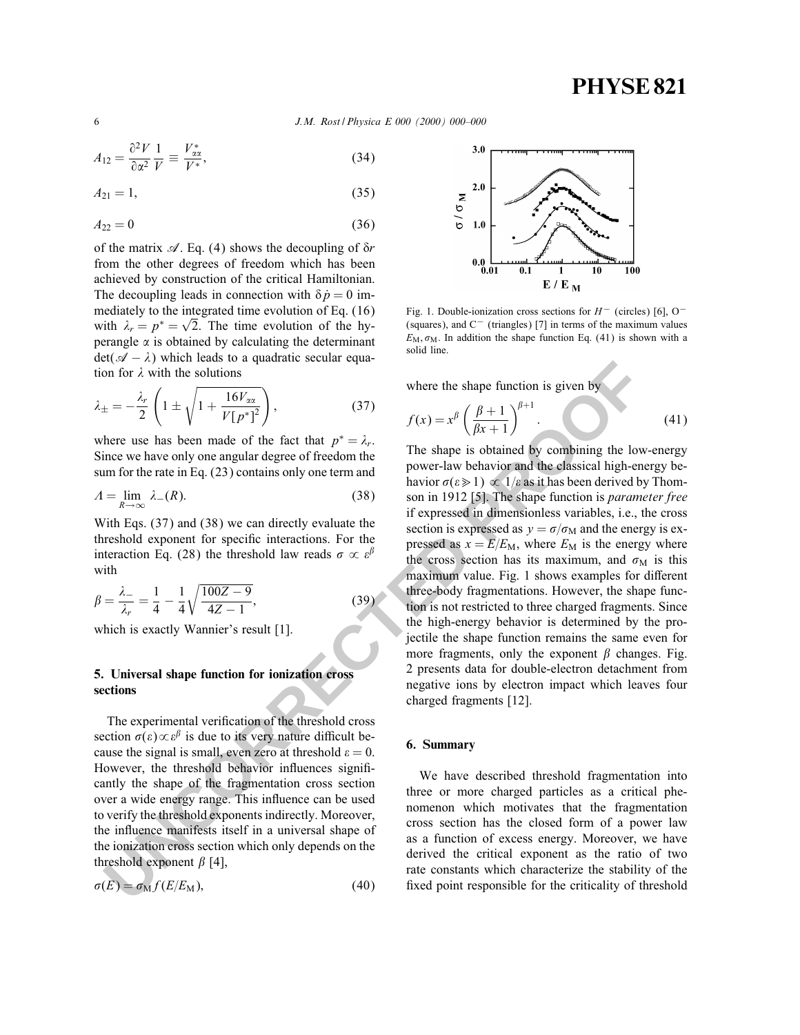6 J.M. Rost / Physica E 000 (2000) 000–000

$$
A_{12} = \frac{\partial^2 V}{\partial \alpha^2} \frac{1}{V} \equiv \frac{V_{xx}^*}{V^*},\tag{34}
$$

$$
A_{21} = 1,\t\t(35)
$$

$$
A_{22} = 0 \tag{36}
$$

of the matrix  $\mathscr A$ . Eq. (4) shows the decoupling of  $\delta r$ from the other degrees of freedom which has been achieved by construction of the critical Hamiltonian. The decoupling leads in connection with  $\delta \dot{p} = 0$  immediately to the integrated time evolution of Eq. (16) with  $\lambda_r = p^* = \sqrt{2}$ . The time evolution of the hyperangle  $\alpha$  is obtained by calculating the determinant  $\det(\mathscr{A} - \lambda)$  which leads to a quadratic secular equation for  $\lambda$  with the solutions

$$
\lambda_{\pm} = -\frac{\lambda_r}{2} \left( 1 \pm \sqrt{1 + \frac{16V_{xx}}{V[p^*]^2}} \right),\tag{37}
$$

where use has been made of the fact that  $p^* = \lambda_r$ . Since we have only one angular degree of freedom the sum for the rate in Eq. (23) contains only one term and

$$
A = \lim_{R \to \infty} \lambda_{-}(R). \tag{38}
$$

With Eqs. (37) and (38) we can directly evaluate the threshold exponent for specific interactions. For the interaction Eq. (28) the threshold law reads  $\sigma \propto \varepsilon^{\beta}$ with

$$
\beta = \frac{\lambda_{-}}{\lambda_{r}} = \frac{1}{4} - \frac{1}{4} \sqrt{\frac{100Z - 9}{4Z - 1}},
$$
\n(39)

which is exactly Wannier's result [1].

## 5. Universal shape function for ionization cross sections

The experimental verification of the threshold cross section  $\sigma(\varepsilon) \propto \varepsilon^{\beta}$  is due to its very nature difficult because the signal is small, even zero at threshold  $\varepsilon = 0$ . However, the threshold behavior influences significantly the shape of the fragmentation cross section over a wide energy range. This influence can be used to verify the threshold exponents indirectly. Moreover, the in
uence manifests itself in a universal shape of the ionization cross section which only depends on the threshold exponent  $\beta$  [4],

$$
\sigma(E) = \sigma_{\rm M} f(E/E_{\rm M}),\tag{40}
$$



Fig. 1. Double-ionization cross sections for  $H^-$  (circles) [6], O<sup>-</sup> (squares), and C− (triangles) [7] in terms of the maximum values  $E_M$ ,  $\sigma_M$ . In addition the shape function Eq. (41) is shown with a solid line.

where the shape function is given by

$$
f(x) = x^{\beta} \left( \frac{\beta + 1}{\beta x + 1} \right)^{\beta + 1}.
$$
 (41)

2. Universal was been universal to the solutions<br>
In for  $\lambda$  with the solutions<br>  $\pm -\frac{2\pi}{2} \left(1 \pm \sqrt{1+\frac{16V_{23}}{V_{12}+2}}\right)$ , (37)<br>
there use has been mead of the fact that  $p^* = \lambda$ .<br>
there use has been mead of the fa The shape is obtained by combining the low-energy power-law behavior and the classical high-energy behavior  $\sigma(\varepsilon \geq 1) \propto 1/\varepsilon$  as it has been derived by Thomson in 1912 [5]. The shape function is parameter free if expressed in dimensionless variables, i.e., the cross section is expressed as  $y = \sigma/\sigma_M$  and the energy is expressed as  $x = E/E_M$ , where  $E_M$  is the energy where the cross section has its maximum, and  $\sigma_M$  is this maximum value. Fig. 1 shows examples for different three-body fragmentations. However, the shape function is not restricted to three charged fragments. Since the high-energy behavior is determined by the projectile the shape function remains the same even for more fragments, only the exponent  $\beta$  changes. Fig. 2 presents data for double-electron detachment from negative ions by electron impact which leaves four charged fragments [12].

### 6. Summary

We have described threshold fragmentation into three or more charged particles as a critical phenomenon which motivates that the fragmentation cross section has the closed form of a power law as a function of excess energy. Moreover, we have derived the critical exponent as the ratio of two rate constants which characterize the stability of the fixed point responsible for the criticality of threshold

$$
\epsilon
$$